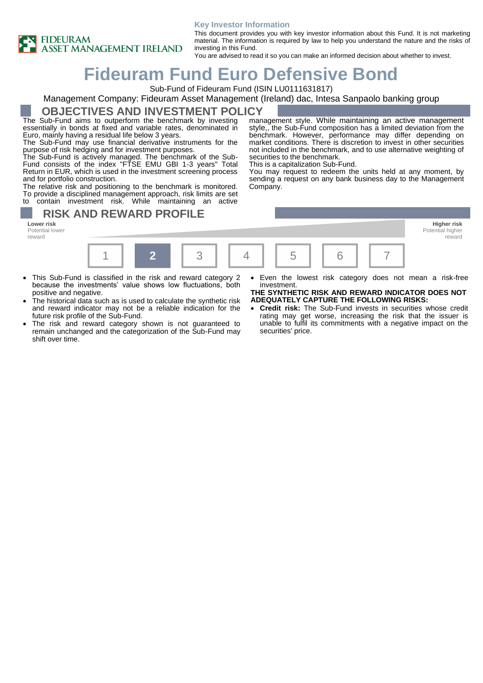

#### **Key Investor Information**

This document provides you with key investor information about this Fund. It is not marketing material. The information is required by law to help you understand the nature and the risks of investing in this Fund.

You are advised to read it so you can make an informed decision about whether to invest.

securities to the benchmark. This is a capitalization Sub-Fund.

# **Fideuram Fund Euro Defensive Bond**

Sub-Fund of Fideuram Fund (ISIN LU0111631817)

### Management Company: Fideuram Asset Management (Ireland) dac, Intesa Sanpaolo banking group

### **OBJECTIVES AND INVESTMENT POLICY**

The Sub-Fund aims to outperform the benchmark by investing essentially in bonds at fixed and variable rates, denominated in Euro, mainly having a residual life below 3 years.

The Sub-Fund may use financial derivative instruments for the purpose of risk hedging and for investment purposes.

The Sub-Fund is actively managed. The benchmark of the Sub-Fund consists of the index "FTSE EMU GBI 1-3 years" Total Return in EUR, which is used in the investment screening process and for portfolio construction.

The relative risk and positioning to the benchmark is monitored. To provide a disciplined management approach, risk limits are set to contain investment risk. While maintaining an active

### **RISK AND REWARD PROFILE**

Potential lower reward



Company.

- This Sub-Fund is classified in the risk and reward category 2 because the investments' value shows low fluctuations, both positive and negative.
- The historical data such as is used to calculate the synthetic risk and reward indicator may not be a reliable indication for the future risk profile of the Sub-Fund.
- The risk and reward category shown is not guaranteed to remain unchanged and the categorization of the Sub-Fund may shift over time.
- Even the lowest risk category does not mean a risk-free investment.

Potential higher reward

management style. While maintaining an active management style,, the Sub-Fund composition has a limited deviation from the benchmark. However, performance may differ depending on market conditions. There is discretion to invest in other securities not included in the benchmark, and to use alternative weighting of

You may request to redeem the units held at any moment, by sending a request on any bank business day to the Management

#### **THE SYNTHETIC RISK AND REWARD INDICATOR DOES NOT ADEQUATELY CAPTURE THE FOLLOWING RISKS:**

• **Credit risk:** The Sub-Fund invests in securities whose credit rating may get worse, increasing the risk that the issuer is unable to fulfil its commitments with a negative impact on the securities' price.